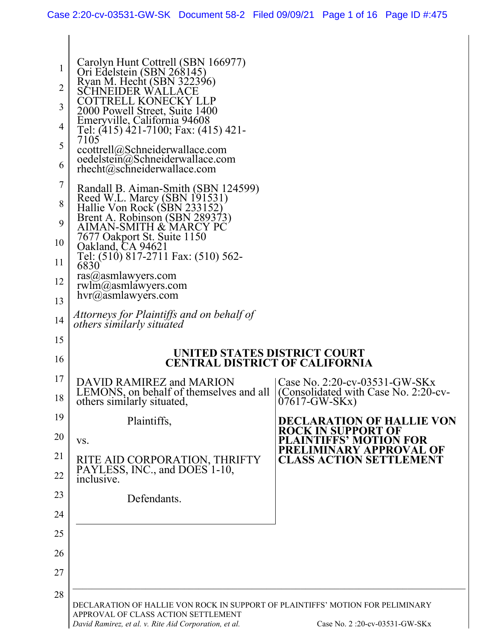$\mathsf{l}$ 

| 1<br>$\overline{2}$<br>3<br>4<br>5<br>6<br>7<br>8<br>9<br>10<br>11<br>12<br>13<br>14<br>15<br>16<br>17 | Carolyn Hunt Cottrell (SBN 166977)<br>Ori Edelstein (SBN 268145)<br>Ryan M. Hecht (SBN 322396)<br>SCHNEIDER WAL<br>COTTRELL KONECKY LLP<br>2000 Powell Street, Suite 1400<br>Emeryville, California 94608<br>Tel: (415) 421-7100; Fax: (415) 421-<br>7105<br>ccottrell@Schneiderwallace.com<br>oedelstein@Schneiderwallace.com<br>$rhecht@$ schneiderwallace.com<br>Randall B. Aiman-Smith (SBN 124599)<br>Reed W.L. Marcy (SBN 191531)<br>Hallie Von Rock (SBN 233152)<br>Brent A. Robinson (SBN 289373)<br>AIMAN-SMITH & MARCY PC<br>7677 Oakport St. Suite 1150<br>Oakland, CA 94621<br>Tel: (510) 817-2711 Fax: (510) 562-<br>6830<br>ras@asmlawyers.com<br>$rwhm(a)$ asmlawyers.com<br>$hvr@a$ smlawyers.com<br>Attorneys for Plaintiffs and on behalf of<br><i>others similarly situated</i><br>UNITED STATES DISTRICT COURT<br><b>CENTRAL DISTRICT OF CALIFORNIA</b> |                                                                                         |
|--------------------------------------------------------------------------------------------------------|-----------------------------------------------------------------------------------------------------------------------------------------------------------------------------------------------------------------------------------------------------------------------------------------------------------------------------------------------------------------------------------------------------------------------------------------------------------------------------------------------------------------------------------------------------------------------------------------------------------------------------------------------------------------------------------------------------------------------------------------------------------------------------------------------------------------------------------------------------------------------------|-----------------------------------------------------------------------------------------|
|                                                                                                        | DAVID RAMIREZ and MARION<br>LEMONS, on behalf of themselves and all<br>others similarly situated,                                                                                                                                                                                                                                                                                                                                                                                                                                                                                                                                                                                                                                                                                                                                                                           | Case No. 2:20-cv-03531-GW-SKx<br>(Consolidated with Case No. 2:20-cv-<br>$07617-GW-SKx$ |
| 18                                                                                                     |                                                                                                                                                                                                                                                                                                                                                                                                                                                                                                                                                                                                                                                                                                                                                                                                                                                                             |                                                                                         |
| 19                                                                                                     | Plaintiffs,                                                                                                                                                                                                                                                                                                                                                                                                                                                                                                                                                                                                                                                                                                                                                                                                                                                                 | <b>DECLARATION OF HALLIE VON</b>                                                        |
| 20                                                                                                     | VS.                                                                                                                                                                                                                                                                                                                                                                                                                                                                                                                                                                                                                                                                                                                                                                                                                                                                         | <b>ROCK IN SUPPORT OF</b><br><b>PLAINTIFFS' MOTION FOR</b>                              |
| 21                                                                                                     |                                                                                                                                                                                                                                                                                                                                                                                                                                                                                                                                                                                                                                                                                                                                                                                                                                                                             | PRELIMINARY APPROVAL OF<br><b>CLASS ACTION SETTLEMENT</b>                               |
| 22                                                                                                     | RITE AID CORPORATION, THRIFTY PAYLESS, INC., and DOES 1-10,<br>inclusive.                                                                                                                                                                                                                                                                                                                                                                                                                                                                                                                                                                                                                                                                                                                                                                                                   |                                                                                         |
| 23                                                                                                     | Defendants.                                                                                                                                                                                                                                                                                                                                                                                                                                                                                                                                                                                                                                                                                                                                                                                                                                                                 |                                                                                         |
| 24                                                                                                     |                                                                                                                                                                                                                                                                                                                                                                                                                                                                                                                                                                                                                                                                                                                                                                                                                                                                             |                                                                                         |
| 25                                                                                                     |                                                                                                                                                                                                                                                                                                                                                                                                                                                                                                                                                                                                                                                                                                                                                                                                                                                                             |                                                                                         |
| 26                                                                                                     |                                                                                                                                                                                                                                                                                                                                                                                                                                                                                                                                                                                                                                                                                                                                                                                                                                                                             |                                                                                         |
| 27                                                                                                     |                                                                                                                                                                                                                                                                                                                                                                                                                                                                                                                                                                                                                                                                                                                                                                                                                                                                             |                                                                                         |
| 28                                                                                                     |                                                                                                                                                                                                                                                                                                                                                                                                                                                                                                                                                                                                                                                                                                                                                                                                                                                                             |                                                                                         |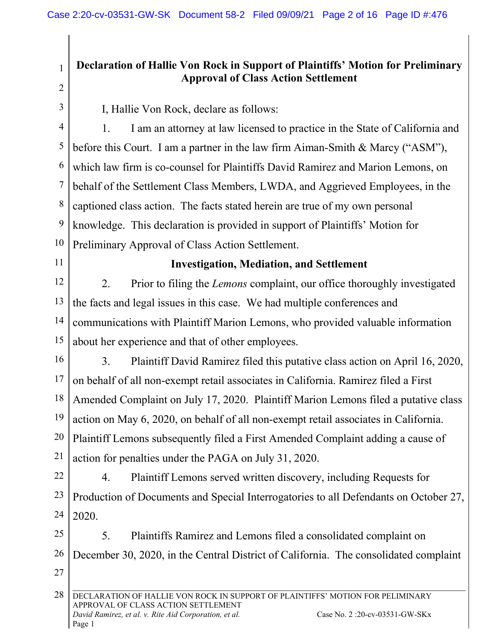# **Declaration of Hallie Von Rock in Support of Plaintiffs' Motion for Preliminary Approval of Class Action Settlement**

2 3

1

I, Hallie Von Rock, declare as follows:

4 5 6 7 8 9 10 1. I am an attorney at law licensed to practice in the State of California and before this Court. I am a partner in the law firm Aiman-Smith & Marcy ("ASM"), which law firm is co-counsel for Plaintiffs David Ramirez and Marion Lemons, on behalf of the Settlement Class Members, LWDA, and Aggrieved Employees, in the captioned class action. The facts stated herein are true of my own personal knowledge. This declaration is provided in support of Plaintiffs' Motion for Preliminary Approval of Class Action Settlement.

11

# **Investigation, Mediation, and Settlement**

12 13 14 15 2. Prior to filing the *Lemons* complaint, our office thoroughly investigated the facts and legal issues in this case. We had multiple conferences and communications with Plaintiff Marion Lemons, who provided valuable information about her experience and that of other employees.

16 17 18 19 20 21 3. Plaintiff David Ramirez filed this putative class action on April 16, 2020, on behalf of all non-exempt retail associates in California. Ramirez filed a First Amended Complaint on July 17, 2020. Plaintiff Marion Lemons filed a putative class action on May 6, 2020, on behalf of all non-exempt retail associates in California. Plaintiff Lemons subsequently filed a First Amended Complaint adding a cause of action for penalties under the PAGA on July 31, 2020.

22 23 24 4. Plaintiff Lemons served written discovery, including Requests for Production of Documents and Special Interrogatories to all Defendants on October 27, 2020.

25 26 27 5. Plaintiffs Ramirez and Lemons filed a consolidated complaint on December 30, 2020, in the Central District of California. The consolidated complaint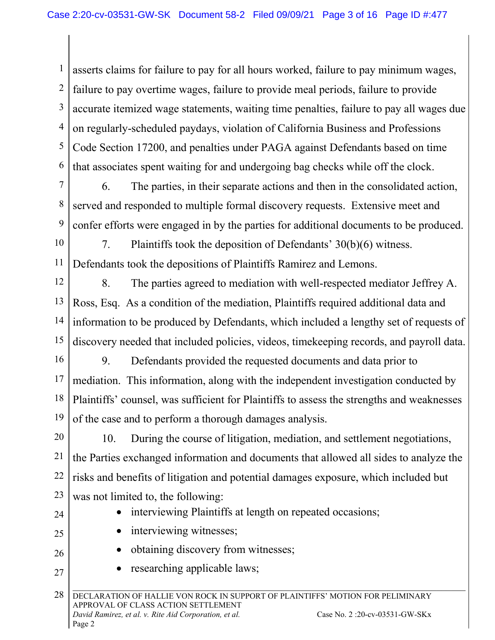1 2 3 4 5 6 asserts claims for failure to pay for all hours worked, failure to pay minimum wages, failure to pay overtime wages, failure to provide meal periods, failure to provide accurate itemized wage statements, waiting time penalties, failure to pay all wages due on regularly-scheduled paydays, violation of California Business and Professions Code Section 17200, and penalties under PAGA against Defendants based on time that associates spent waiting for and undergoing bag checks while off the clock.

- 7 8 9 6. The parties, in their separate actions and then in the consolidated action, served and responded to multiple formal discovery requests. Extensive meet and confer efforts were engaged in by the parties for additional documents to be produced.
- 10 11 7. Plaintiffs took the deposition of Defendants' 30(b)(6) witness. Defendants took the depositions of Plaintiffs Ramirez and Lemons.
- 12 13 14 15 8. The parties agreed to mediation with well-respected mediator Jeffrey A. Ross, Esq. As a condition of the mediation, Plaintiffs required additional data and information to be produced by Defendants, which included a lengthy set of requests of discovery needed that included policies, videos, timekeeping records, and payroll data.
- 16 17 18 19 9. Defendants provided the requested documents and data prior to mediation. This information, along with the independent investigation conducted by Plaintiffs' counsel, was sufficient for Plaintiffs to assess the strengths and weaknesses of the case and to perform a thorough damages analysis.
- 20 21 22 23 10. During the course of litigation, mediation, and settlement negotiations, the Parties exchanged information and documents that allowed all sides to analyze the risks and benefits of litigation and potential damages exposure, which included but was not limited to, the following:
- 24
- 25

26

27

- interviewing Plaintiffs at length on repeated occasions;
- interviewing witnesses;
- obtaining discovery from witnesses;
- researching applicable laws;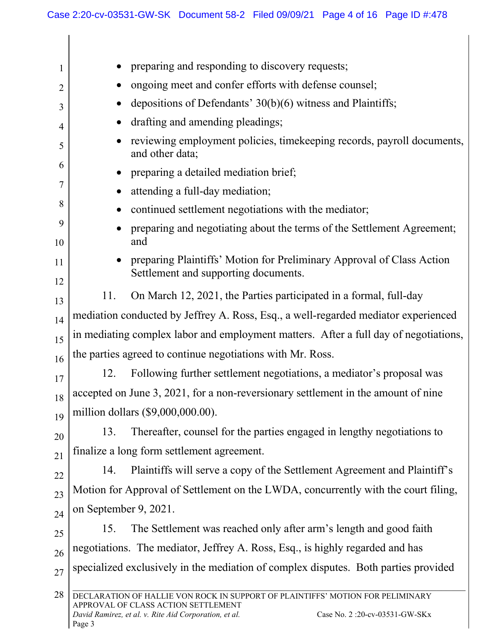$\mathsf{l}$ 

| 1              | preparing and responding to discovery requests;                                                                                                                                                                            |  |
|----------------|----------------------------------------------------------------------------------------------------------------------------------------------------------------------------------------------------------------------------|--|
| 2              | ongoing meet and confer efforts with defense counsel;                                                                                                                                                                      |  |
| 3              | depositions of Defendants' 30(b)(6) witness and Plaintiffs;                                                                                                                                                                |  |
| $\overline{4}$ | drafting and amending pleadings;                                                                                                                                                                                           |  |
| 5              | reviewing employment policies, time keeping records, payroll documents,<br>and other data;                                                                                                                                 |  |
| 6              | preparing a detailed mediation brief;                                                                                                                                                                                      |  |
| 7              | attending a full-day mediation;                                                                                                                                                                                            |  |
| 8              | continued settlement negotiations with the mediator;                                                                                                                                                                       |  |
| 9<br>10        | preparing and negotiating about the terms of the Settlement Agreement;<br>and                                                                                                                                              |  |
| 11             | preparing Plaintiffs' Motion for Preliminary Approval of Class Action                                                                                                                                                      |  |
| 12             | Settlement and supporting documents.                                                                                                                                                                                       |  |
| 13             | On March 12, 2021, the Parties participated in a formal, full-day<br>11.                                                                                                                                                   |  |
| 14             | mediation conducted by Jeffrey A. Ross, Esq., a well-regarded mediator experienced                                                                                                                                         |  |
| 15             | in mediating complex labor and employment matters. After a full day of negotiations,                                                                                                                                       |  |
| 16             | the parties agreed to continue negotiations with Mr. Ross.                                                                                                                                                                 |  |
| 17             | 12.<br>Following further settlement negotiations, a mediator's proposal was                                                                                                                                                |  |
| 18             | accepted on June 3, 2021, for a non-reversionary settlement in the amount of nine                                                                                                                                          |  |
| 19             | million dollars (\$9,000,000.00).                                                                                                                                                                                          |  |
| 20             | Thereafter, counsel for the parties engaged in lengthy negotiations to<br>13.                                                                                                                                              |  |
| 21             | finalize a long form settlement agreement.                                                                                                                                                                                 |  |
| 22             | Plaintiffs will serve a copy of the Settlement Agreement and Plaintiff's<br>14.                                                                                                                                            |  |
| 23             | Motion for Approval of Settlement on the LWDA, concurrently with the court filing,                                                                                                                                         |  |
| 24             | on September 9, 2021.                                                                                                                                                                                                      |  |
| 25             | The Settlement was reached only after arm's length and good faith<br>15.                                                                                                                                                   |  |
| 26             | negotiations. The mediator, Jeffrey A. Ross, Esq., is highly regarded and has                                                                                                                                              |  |
| 27             | specialized exclusively in the mediation of complex disputes. Both parties provided                                                                                                                                        |  |
| 28             |                                                                                                                                                                                                                            |  |
|                | DECLARATION OF HALLIE VON ROCK IN SUPPORT OF PLAINTIFFS' MOTION FOR PELIMINARY<br>APPROVAL OF CLASS ACTION SETTLEMENT<br>Case No. 2 :20-cv-03531-GW-SKx<br>David Ramirez, et al. v. Rite Aid Corporation, et al.<br>Page 3 |  |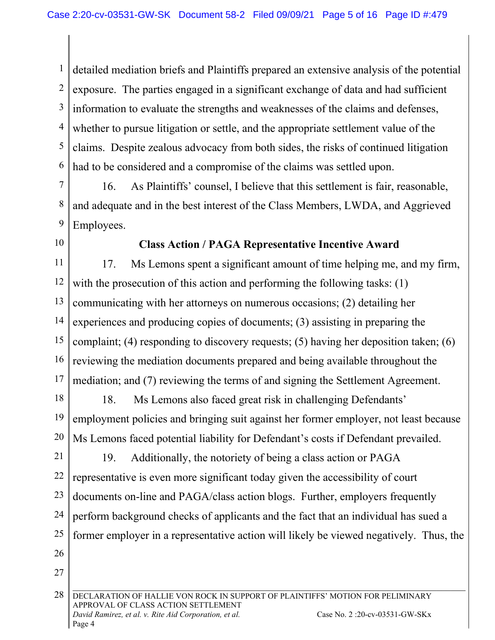1 2 3 4 5 6 detailed mediation briefs and Plaintiffs prepared an extensive analysis of the potential exposure. The parties engaged in a significant exchange of data and had sufficient information to evaluate the strengths and weaknesses of the claims and defenses, whether to pursue litigation or settle, and the appropriate settlement value of the claims. Despite zealous advocacy from both sides, the risks of continued litigation had to be considered and a compromise of the claims was settled upon.

7

8

9

16. As Plaintiffs' counsel, I believe that this settlement is fair, reasonable, and adequate and in the best interest of the Class Members, LWDA, and Aggrieved Employees.

10

# **Class Action / PAGA Representative Incentive Award**

11 12 13 14 15 16 17 17. Ms Lemons spent a significant amount of time helping me, and my firm, with the prosecution of this action and performing the following tasks: (1) communicating with her attorneys on numerous occasions; (2) detailing her experiences and producing copies of documents; (3) assisting in preparing the complaint; (4) responding to discovery requests; (5) having her deposition taken; (6) reviewing the mediation documents prepared and being available throughout the mediation; and (7) reviewing the terms of and signing the Settlement Agreement.

18 19 20 18. Ms Lemons also faced great risk in challenging Defendants' employment policies and bringing suit against her former employer, not least because Ms Lemons faced potential liability for Defendant's costs if Defendant prevailed.

21 22 23 24 25 26 19. Additionally, the notoriety of being a class action or PAGA representative is even more significant today given the accessibility of court documents on-line and PAGA/class action blogs. Further, employers frequently perform background checks of applicants and the fact that an individual has sued a former employer in a representative action will likely be viewed negatively. Thus, the

27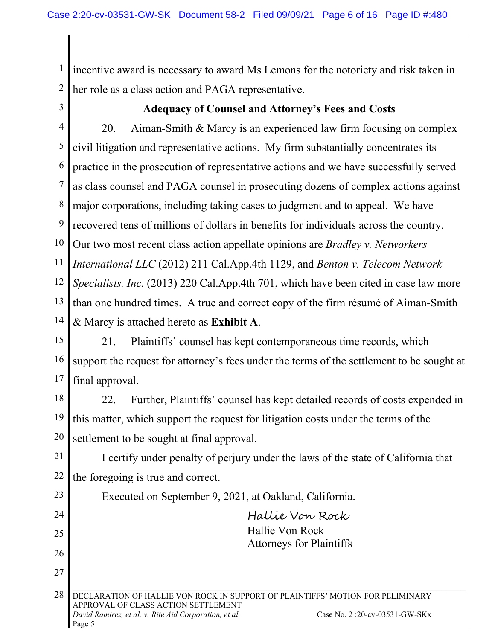1 2 incentive award is necessary to award Ms Lemons for the notoriety and risk taken in her role as a class action and PAGA representative.

3

#### **Adequacy of Counsel and Attorney's Fees and Costs**

4 5 6 7 8 9 10 11 12 13 14 20. Aiman-Smith & Marcy is an experienced law firm focusing on complex civil litigation and representative actions. My firm substantially concentrates its practice in the prosecution of representative actions and we have successfully served as class counsel and PAGA counsel in prosecuting dozens of complex actions against major corporations, including taking cases to judgment and to appeal. We have recovered tens of millions of dollars in benefits for individuals across the country. Our two most recent class action appellate opinions are *Bradley v. Networkers International LLC* (2012) 211 Cal.App.4th 1129, and *Benton v. Telecom Network Specialists, Inc.* (2013) 220 Cal.App.4th 701, which have been cited in case law more than one hundred times. A true and correct copy of the firm résumé of Aiman-Smith & Marcy is attached hereto as **Exhibit A**.

15 16 17 21. Plaintiffs' counsel has kept contemporaneous time records, which support the request for attorney's fees under the terms of the settlement to be sought at final approval.

18 19 20 22. Further, Plaintiffs' counsel has kept detailed records of costs expended in this matter, which support the request for litigation costs under the terms of the settlement to be sought at final approval.

21 22 I certify under penalty of perjury under the laws of the state of California that the foregoing is true and correct.

| 23 | Executed on September 9, 2021, at Oakland, California.                                                                |
|----|-----------------------------------------------------------------------------------------------------------------------|
| 24 | Hallie Von Rock                                                                                                       |
| 25 | Hallie Von Rock                                                                                                       |
| 26 | <b>Attorneys for Plaintiffs</b>                                                                                       |
| 27 |                                                                                                                       |
| 28 | DECLARATION OF HALLIE VON ROCK IN SUPPORT<br>PLAINTIFFS' MOTION FOR PELIMINARY<br>APPROVAL OF CLASS ACTION SETTLEMENT |
|    | David Ramirez, et al. v. Rite Aid Corporation, et al.<br>Case No. 2:20-cv-03531-GW-SKx<br>Page 5                      |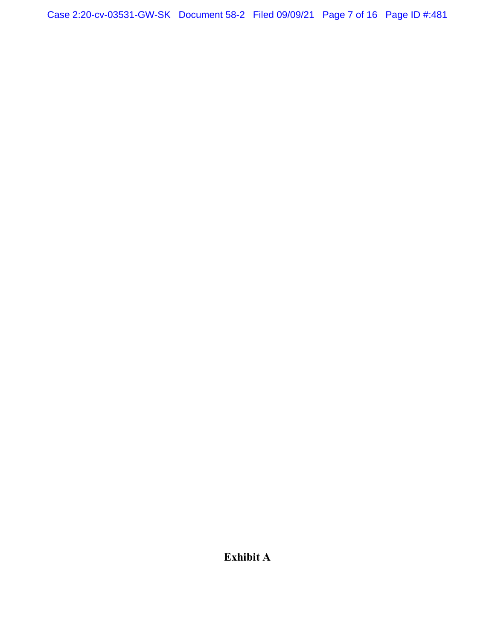Case 2:20-cv-03531-GW-SK Document 58-2 Filed 09/09/21 Page 7 of 16 Page ID #:481

**Exhibit A**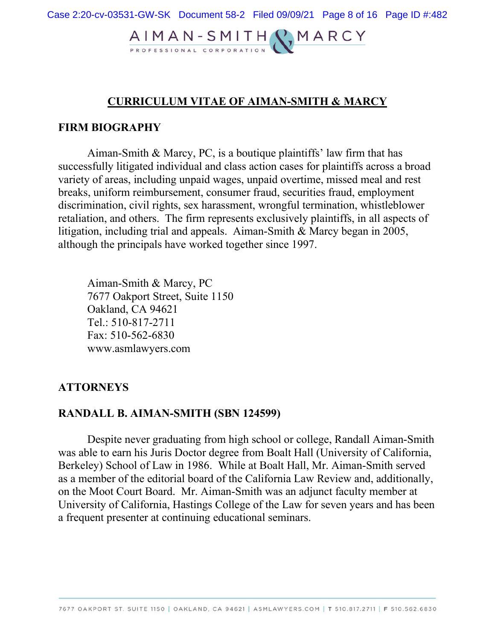# AIMAN-SMITH RMARCY

# **CURRICULUM VITAE OF AIMAN-SMITH & MARCY**

#### **FIRM BIOGRAPHY**

Aiman-Smith & Marcy, PC, is a boutique plaintiffs' law firm that has successfully litigated individual and class action cases for plaintiffs across a broad variety of areas, including unpaid wages, unpaid overtime, missed meal and rest breaks, uniform reimbursement, consumer fraud, securities fraud, employment discrimination, civil rights, sex harassment, wrongful termination, whistleblower retaliation, and others. The firm represents exclusively plaintiffs, in all aspects of litigation, including trial and appeals. Aiman-Smith & Marcy began in 2005, although the principals have worked together since 1997.

Aiman-Smith & Marcy, PC 7677 Oakport Street, Suite 1150 Oakland, CA 94621 Tel.: 510-817-2711 Fax: 510-562-6830 www.asmlawyers.com

#### **ATTORNEYS**

#### **RANDALL B. AIMAN-SMITH (SBN 124599)**

Despite never graduating from high school or college, Randall Aiman-Smith was able to earn his Juris Doctor degree from Boalt Hall (University of California, Berkeley) School of Law in 1986. While at Boalt Hall, Mr. Aiman-Smith served as a member of the editorial board of the California Law Review and, additionally, on the Moot Court Board. Mr. Aiman-Smith was an adjunct faculty member at University of California, Hastings College of the Law for seven years and has been a frequent presenter at continuing educational seminars.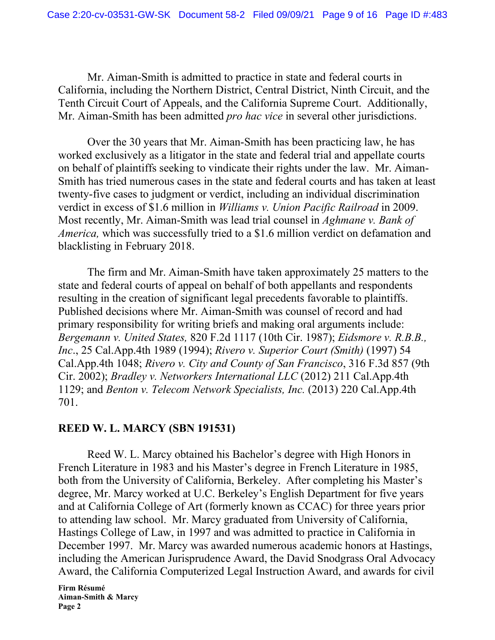Mr. Aiman-Smith is admitted to practice in state and federal courts in California, including the Northern District, Central District, Ninth Circuit, and the Tenth Circuit Court of Appeals, and the California Supreme Court. Additionally, Mr. Aiman-Smith has been admitted *pro hac vice* in several other jurisdictions.

Over the 30 years that Mr. Aiman-Smith has been practicing law, he has worked exclusively as a litigator in the state and federal trial and appellate courts on behalf of plaintiffs seeking to vindicate their rights under the law. Mr. Aiman-Smith has tried numerous cases in the state and federal courts and has taken at least twenty-five cases to judgment or verdict, including an individual discrimination verdict in excess of \$1.6 million in *Williams v. Union Pacific Railroad* in 2009. Most recently, Mr. Aiman-Smith was lead trial counsel in *Aghmane v. Bank of America,* which was successfully tried to a \$1.6 million verdict on defamation and blacklisting in February 2018.

The firm and Mr. Aiman-Smith have taken approximately 25 matters to the state and federal courts of appeal on behalf of both appellants and respondents resulting in the creation of significant legal precedents favorable to plaintiffs. Published decisions where Mr. Aiman-Smith was counsel of record and had primary responsibility for writing briefs and making oral arguments include: *Bergemann v. United States,* 820 F.2d 1117 (10th Cir. 1987); *Eidsmore v. R.B.B., Inc*., 25 Cal.App.4th 1989 (1994); *Rivero v. Superior Court (Smith)* (1997) 54 Cal.App.4th 1048; *Rivero v. City and County of San Francisco*, 316 F.3d 857 (9th Cir. 2002); *Bradley v. Networkers International LLC* (2012) 211 Cal.App.4th 1129; and *Benton v. Telecom Network Specialists, Inc.* (2013) 220 Cal.App.4th 701.

# **REED W. L. MARCY (SBN 191531)**

Reed W. L. Marcy obtained his Bachelor's degree with High Honors in French Literature in 1983 and his Master's degree in French Literature in 1985, both from the University of California, Berkeley. After completing his Master's degree, Mr. Marcy worked at U.C. Berkeley's English Department for five years and at California College of Art (formerly known as CCAC) for three years prior to attending law school. Mr. Marcy graduated from University of California, Hastings College of Law, in 1997 and was admitted to practice in California in December 1997. Mr. Marcy was awarded numerous academic honors at Hastings, including the American Jurisprudence Award, the David Snodgrass Oral Advocacy Award, the California Computerized Legal Instruction Award, and awards for civil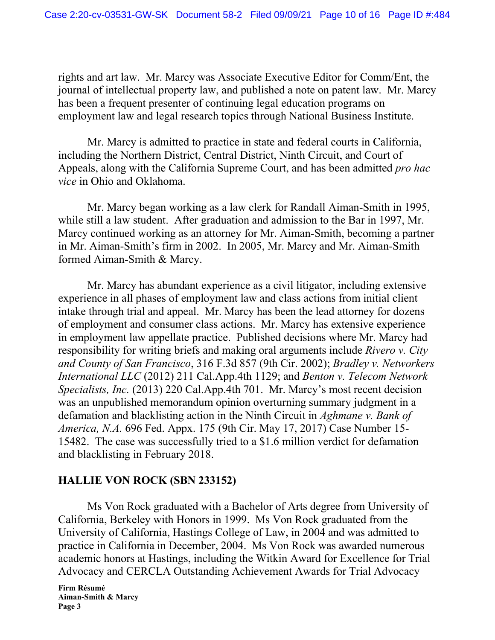rights and art law. Mr. Marcy was Associate Executive Editor for Comm/Ent, the journal of intellectual property law, and published a note on patent law. Mr. Marcy has been a frequent presenter of continuing legal education programs on employment law and legal research topics through National Business Institute.

Mr. Marcy is admitted to practice in state and federal courts in California, including the Northern District, Central District, Ninth Circuit, and Court of Appeals, along with the California Supreme Court, and has been admitted *pro hac vice* in Ohio and Oklahoma.

Mr. Marcy began working as a law clerk for Randall Aiman-Smith in 1995, while still a law student. After graduation and admission to the Bar in 1997, Mr. Marcy continued working as an attorney for Mr. Aiman-Smith, becoming a partner in Mr. Aiman-Smith's firm in 2002. In 2005, Mr. Marcy and Mr. Aiman-Smith formed Aiman-Smith & Marcy.

Mr. Marcy has abundant experience as a civil litigator, including extensive experience in all phases of employment law and class actions from initial client intake through trial and appeal. Mr. Marcy has been the lead attorney for dozens of employment and consumer class actions. Mr. Marcy has extensive experience in employment law appellate practice. Published decisions where Mr. Marcy had responsibility for writing briefs and making oral arguments include *Rivero v. City and County of San Francisco*, 316 F.3d 857 (9th Cir. 2002); *Bradley v. Networkers International LLC* (2012) 211 Cal.App.4th 1129; and *Benton v. Telecom Network Specialists, Inc.* (2013) 220 Cal.App.4th 701. Mr. Marcy's most recent decision was an unpublished memorandum opinion overturning summary judgment in a defamation and blacklisting action in the Ninth Circuit in *Aghmane v. Bank of America, N.A.* 696 Fed. Appx. 175 (9th Cir. May 17, 2017) Case Number 15- 15482. The case was successfully tried to a \$1.6 million verdict for defamation and blacklisting in February 2018.

# **HALLIE VON ROCK (SBN 233152)**

Ms Von Rock graduated with a Bachelor of Arts degree from University of California, Berkeley with Honors in 1999. Ms Von Rock graduated from the University of California, Hastings College of Law, in 2004 and was admitted to practice in California in December, 2004. Ms Von Rock was awarded numerous academic honors at Hastings, including the Witkin Award for Excellence for Trial Advocacy and CERCLA Outstanding Achievement Awards for Trial Advocacy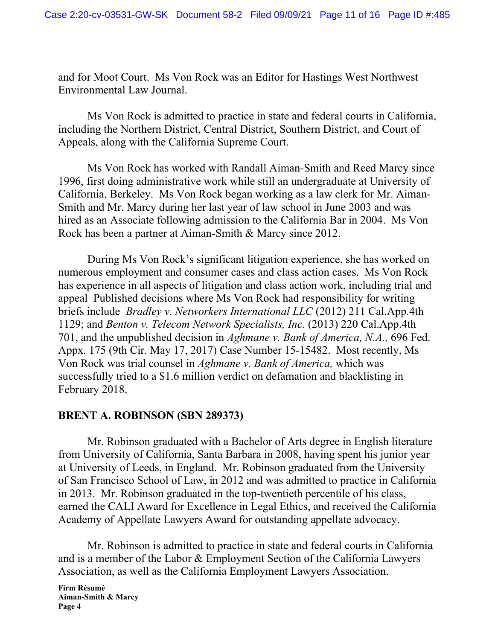and for Moot Court. Ms Von Rock was an Editor for Hastings West Northwest Environmental Law Journal.

Ms Von Rock is admitted to practice in state and federal courts in California, including the Northern District, Central District, Southern District, and Court of Appeals, along with the California Supreme Court.

Ms Von Rock has worked with Randall Aiman-Smith and Reed Marcy since 1996, first doing administrative work while still an undergraduate at University of California, Berkeley. Ms Von Rock began working as a law clerk for Mr. Aiman-Smith and Mr. Marcy during her last year of law school in June 2003 and was hired as an Associate following admission to the California Bar in 2004. Ms Von Rock has been a partner at Aiman-Smith & Marcy since 2012.

During Ms Von Rock's significant litigation experience, she has worked on numerous employment and consumer cases and class action cases. Ms Von Rock has experience in all aspects of litigation and class action work, including trial and appeal Published decisions where Ms Von Rock had responsibility for writing briefs include *Bradley v. Networkers International LLC* (2012) 211 Cal.App.4th 1129; and *Benton v. Telecom Network Specialists, Inc.* (2013) 220 Cal.App.4th 701, and the unpublished decision in *Aghmane v. Bank of America, N.A.,* 696 Fed. Appx. 175 (9th Cir. May 17, 2017) Case Number 15-15482. Most recently, Ms Von Rock was trial counsel in *Aghmane v. Bank of America,* which was successfully tried to a \$1.6 million verdict on defamation and blacklisting in February 2018.

# **BRENT A. ROBINSON (SBN 289373)**

Mr. Robinson graduated with a Bachelor of Arts degree in English literature from University of California, Santa Barbara in 2008, having spent his junior year at University of Leeds, in England. Mr. Robinson graduated from the University of San Francisco School of Law, in 2012 and was admitted to practice in California in 2013. Mr. Robinson graduated in the top-twentieth percentile of his class, earned the CALI Award for Excellence in Legal Ethics, and received the California Academy of Appellate Lawyers Award for outstanding appellate advocacy.

Mr. Robinson is admitted to practice in state and federal courts in California and is a member of the Labor & Employment Section of the California Lawyers Association, as well as the California Employment Lawyers Association.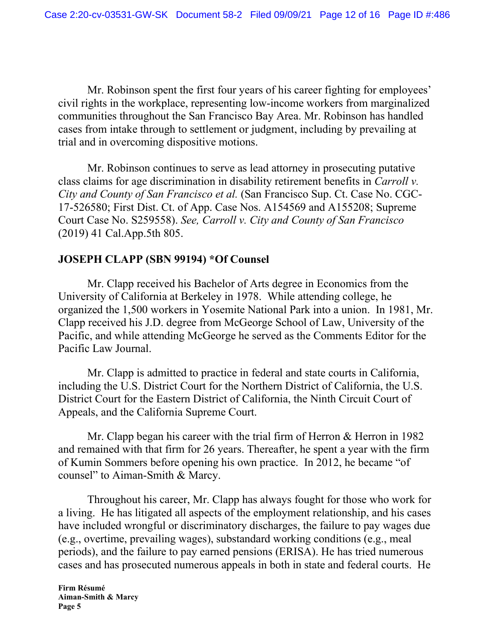Mr. Robinson spent the first four years of his career fighting for employees' civil rights in the workplace, representing low-income workers from marginalized communities throughout the San Francisco Bay Area. Mr. Robinson has handled cases from intake through to settlement or judgment, including by prevailing at trial and in overcoming dispositive motions.

Mr. Robinson continues to serve as lead attorney in prosecuting putative class claims for age discrimination in disability retirement benefits in *Carroll v. City and County of San Francisco et al.* (San Francisco Sup. Ct. Case No. CGC-17-526580; First Dist. Ct. of App. Case Nos. A154569 and A155208; Supreme Court Case No. S259558). *See, Carroll v. City and County of San Francisco* (2019) 41 Cal.App.5th 805.

#### **JOSEPH CLAPP (SBN 99194) \*Of Counsel**

Mr. Clapp received his Bachelor of Arts degree in Economics from the University of California at Berkeley in 1978. While attending college, he organized the 1,500 workers in Yosemite National Park into a union. In 1981, Mr. Clapp received his J.D. degree from McGeorge School of Law, University of the Pacific, and while attending McGeorge he served as the Comments Editor for the Pacific Law Journal.

Mr. Clapp is admitted to practice in federal and state courts in California, including the U.S. District Court for the Northern District of California, the U.S. District Court for the Eastern District of California, the Ninth Circuit Court of Appeals, and the California Supreme Court.

Mr. Clapp began his career with the trial firm of Herron & Herron in 1982 and remained with that firm for 26 years. Thereafter, he spent a year with the firm of Kumin Sommers before opening his own practice. In 2012, he became "of counsel" to Aiman-Smith & Marcy.

Throughout his career, Mr. Clapp has always fought for those who work for a living. He has litigated all aspects of the employment relationship, and his cases have included wrongful or discriminatory discharges, the failure to pay wages due (e.g., overtime, prevailing wages), substandard working conditions (e.g., meal periods), and the failure to pay earned pensions (ERISA). He has tried numerous cases and has prosecuted numerous appeals in both in state and federal courts. He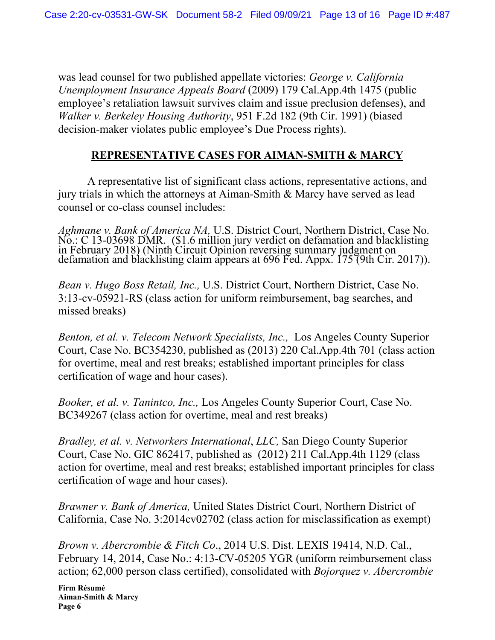was lead counsel for two published appellate victories: *George v. California Unemployment Insurance Appeals Board* (2009) 179 Cal.App.4th 1475 (public employee's retaliation lawsuit survives claim and issue preclusion defenses), and *Walker v. Berkeley Housing Authority*, 951 F.2d 182 (9th Cir. 1991) (biased decision-maker violates public employee's Due Process rights).

# **REPRESENTATIVE CASES FOR AIMAN-SMITH & MARCY**

A representative list of significant class actions, representative actions, and jury trials in which the attorneys at Aiman-Smith & Marcy have served as lead counsel or co-class counsel includes:

*Aghmane v. Bank of America NA,* U.S. District Court, Northern District, Case No. No.: C 13-03698 DMR. (\$1.6 million jury verdict on defamation and blacklisting<br>in February 2018) (Ninth Circuit Opinion reversing summary judgment on<br>defamation and blacklisting claim appears at 696 Fed. Appx. 175 (9th Cir

*Bean v. Hugo Boss Retail, Inc.,* U.S. District Court, Northern District, Case No. 3:13-cv-05921-RS (class action for uniform reimbursement, bag searches, and missed breaks)

*Benton, et al. v. Telecom Network Specialists, Inc.,* Los Angeles County Superior Court, Case No. BC354230, published as (2013) 220 Cal.App.4th 701 (class action for overtime, meal and rest breaks; established important principles for class certification of wage and hour cases).

*Booker, et al. v. Tanintco, Inc.,* Los Angeles County Superior Court, Case No. BC349267 (class action for overtime, meal and rest breaks)

*Bradley, et al. v. Networkers International*, *LLC,* San Diego County Superior Court, Case No. GIC 862417, published as (2012) 211 Cal.App.4th 1129 (class action for overtime, meal and rest breaks; established important principles for class certification of wage and hour cases).

*Brawner v. Bank of America,* United States District Court, Northern District of California, Case No. 3:2014cv02702 (class action for misclassification as exempt)

*Brown v. Abercrombie & Fitch Co*., 2014 U.S. Dist. LEXIS 19414, N.D. Cal., February 14, 2014, Case No.: 4:13-CV-05205 YGR (uniform reimbursement class action; 62,000 person class certified), consolidated with *Bojorquez v. Abercrombie*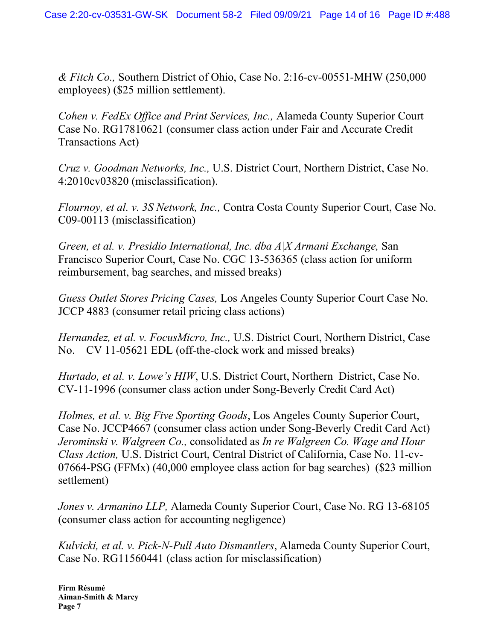*& Fitch Co.,* Southern District of Ohio, Case No. 2:16-cv-00551-MHW (250,000 employees) (\$25 million settlement).

*Cohen v. FedEx Office and Print Services, Inc.,* Alameda County Superior Court Case No. RG17810621 (consumer class action under Fair and Accurate Credit Transactions Act)

*Cruz v. Goodman Networks, Inc.,* U.S. District Court, Northern District, Case No. 4:2010cv03820 (misclassification).

*Flournoy, et al. v. 3S Network, Inc.,* Contra Costa County Superior Court, Case No. C09-00113 (misclassification)

*Green, et al. v. Presidio International, Inc. dba A|X Armani Exchange,* San Francisco Superior Court, Case No. CGC 13-536365 (class action for uniform reimbursement, bag searches, and missed breaks)

*Guess Outlet Stores Pricing Cases,* Los Angeles County Superior Court Case No. JCCP 4883 (consumer retail pricing class actions)

*Hernandez, et al. v. FocusMicro, Inc.,* U.S. District Court, Northern District, Case No. CV 11-05621 EDL (off-the-clock work and missed breaks)

*Hurtado, et al. v. Lowe's HIW*, U.S. District Court, Northern District, Case No. CV-11-1996 (consumer class action under Song-Beverly Credit Card Act)

*Holmes, et al. v. Big Five Sporting Goods*, Los Angeles County Superior Court, Case No. JCCP4667 (consumer class action under Song-Beverly Credit Card Act) *Jerominski v. Walgreen Co.,* consolidated as *In re Walgreen Co. Wage and Hour Class Action,* U.S. District Court, Central District of California, Case No. 11-cv-07664-PSG (FFMx) (40,000 employee class action for bag searches) (\$23 million settlement)

*Jones v. Armanino LLP,* Alameda County Superior Court, Case No. RG 13-68105 (consumer class action for accounting negligence)

*Kulvicki, et al. v. Pick-N-Pull Auto Dismantlers*, Alameda County Superior Court, Case No. RG11560441 (class action for misclassification)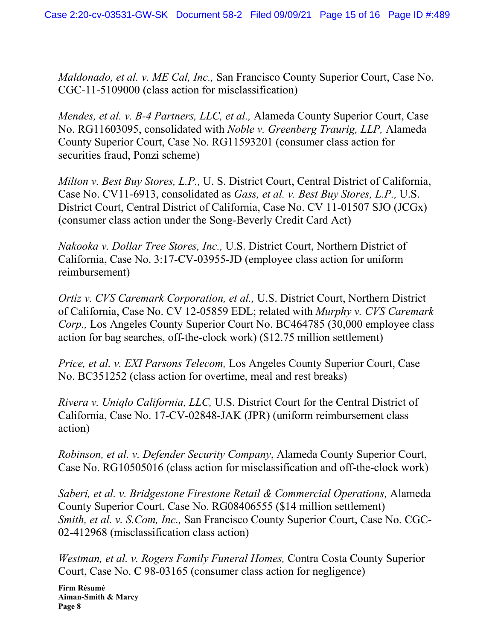*Maldonado, et al. v. ME Cal, Inc.,* San Francisco County Superior Court, Case No. CGC-11-5109000 (class action for misclassification)

*Mendes, et al. v. B-4 Partners, LLC, et al.,* Alameda County Superior Court, Case No. RG11603095, consolidated with *Noble v. Greenberg Traurig, LLP,* Alameda County Superior Court, Case No. RG11593201 (consumer class action for securities fraud, Ponzi scheme)

*Milton v. Best Buy Stores, L.P.,* U. S. District Court, Central District of California, Case No. CV11-6913, consolidated as *Gass, et al. v. Best Buy Stores, L.P.,* U.S. District Court, Central District of California, Case No. CV 11-01507 SJO (JCGx) (consumer class action under the Song-Beverly Credit Card Act)

*Nakooka v. Dollar Tree Stores, Inc.,* U.S. District Court, Northern District of California, Case No. 3:17-CV-03955-JD (employee class action for uniform reimbursement)

*Ortiz v. CVS Caremark Corporation, et al.,* U.S. District Court, Northern District of California, Case No. CV 12-05859 EDL; related with *Murphy v. CVS Caremark Corp.,* Los Angeles County Superior Court No. BC464785 (30,000 employee class action for bag searches, off-the-clock work) (\$12.75 million settlement)

*Price, et al. v. EXI Parsons Telecom,* Los Angeles County Superior Court, Case No. BC351252 (class action for overtime, meal and rest breaks)

*Rivera v. Uniqlo California, LLC,* U.S. District Court for the Central District of California, Case No. 17-CV-02848-JAK (JPR) (uniform reimbursement class action)

*Robinson, et al. v. Defender Security Company*, Alameda County Superior Court, Case No. RG10505016 (class action for misclassification and off-the-clock work)

*Saberi, et al. v. Bridgestone Firestone Retail & Commercial Operations,* Alameda County Superior Court. Case No. RG08406555 (\$14 million settlement) *Smith, et al. v. S.Com, Inc.,* San Francisco County Superior Court, Case No. CGC-02-412968 (misclassification class action)

*Westman, et al. v. Rogers Family Funeral Homes,* Contra Costa County Superior Court, Case No. C 98-03165 (consumer class action for negligence)